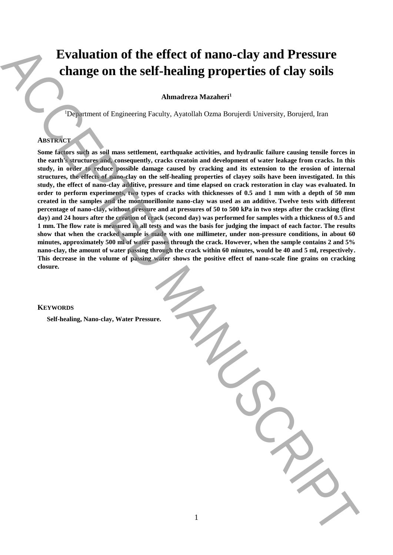# **Evaluation of the effect of nano-clay and Pressure change on the self-healing properties of clay soils**

**Ahmadreza Mazaheri<sup>1</sup>**

<sup>1</sup>Department of Engineering Faculty, Ayatollah Ozma Borujerdi University, Borujerd, Iran

## **ABSTRACT**

**Some factors such as soil mass settlement, earthquake activities, and hydraulic failure causing tensile forces in the earth's structures and, consequently, cracks creatoin and development of water leakage from cracks. In this study, in order to reduce possible damage caused by cracking and its extension to the erosion of internal structures, the effects of nano-clay on the self-healing properties of clayey soils have been investigated. In this study, the effect of nano-clay additive, pressure and time elapsed on crack restoration in clay was evaluated. In order to perform experiments, two types of cracks with thicknesses of 0.5 and 1 mm with a depth of 50 mm created in the samples and the montmorillonite nano-clay was used as an additive. Twelve tests with different percentage of nano-clay, without pressure and at pressures of 50 to 500 kPa in two steps after the cracking (first day) and 24 hours after the creation of crack (second day) was performed for samples with a thickness of 0.5 and 1 mm. The flow rate is measured in all tests and was the basis for judging the impact of each factor. The results show that when the cracked sample is made with one millimeter, under non-pressure conditions, in about 60 minutes, approximately 500 ml of water passes through the crack. However, when the sample contains 2 and 5% nano-clay, the amount of water passing through the crack within 60 minutes, would be 40 and 5 ml, respectively. This decrease in the volume of passing water shows the positive effect of nano-scale fine grains on cracking closure. Evaluation of the effect of nano-clay and Pressure.**<br>
change on the self-healing properties of clay soils<br>
Amadrea Manuscription of Diguecia Paulus, Ayanda Oran Recipied University, Recipert, Iran<br>
Secrets pressure in the

1

### **KEYWORDS**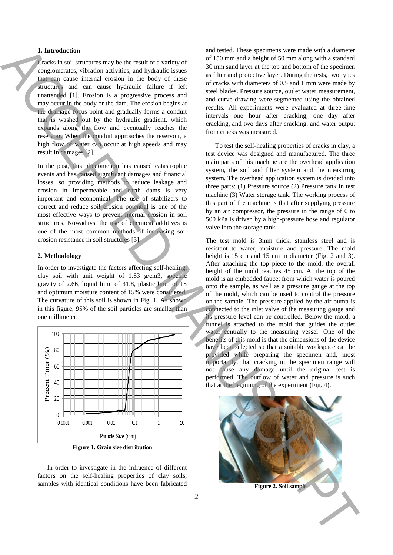### **1. Introduction**

Cracks in soil structures may be the result of a variety of conglomerates, vibration activities, and hydraulic issues that can cause internal erosion in the body of these structures and can cause hydraulic failure if left unattended [1]. Erosion is a progressive process and may occur in the body or the dam. The erosion begins at the drainage focus point and gradually forms a conduit that is washed out by the hydraulic gradient, which expands along the flow and eventually reaches the reservoir. When the conduit approaches the reservoir, a high flow of water can occur at high speeds and may result in damages [2].

In the past, this phenomenon has caused catastrophic events and has caused significant damages and financial losses, so providing methods to reduce leakage and erosion in impermeable and earth dams is very important and economical. The use of stabilizers to correct and reduce soil erosion potential is one of the most effective ways to prevent internal erosion in soil structures. Nowadays, the use of chemical additives is one of the most common methods of increasing soil erosion resistance in soil structures [3].

### **2. Methodology**

In order to investigate the factors affecting self-healing, clay soil with unit weight of 1.83 g/cm3, specific gravity of 2.66, liquid limit of 31.8, plastic limit of 18 and optimum moisture content of 15% were considered. The curvature of this soil is shown in Fig. 1. As shown in this figure, 95% of the soil particles are smaller than one millimeter.



**Figure 1. Grain size distribution**

In order to investigate in the influence of different factors on the self-healing properties of clay soils, samples with identical conditions have been fabricated

and tested. These specimens were made with a diameter of 150 mm and a height of 50 mm along with a standard 30 mm sand layer at the top and bottom of the specimen as filter and protective layer. During the tests, two types of cracks with diameters of 0.5 and 1 mm were made by steel blades. Pressure source, outlet water measurement, and curve drawing were segmented using the obtained results. All experiments were evaluated at three-time intervals one hour after cracking, one day after cracking, and two days after cracking, and water output from cracks was measured.

To test the self-healing properties of cracks in clay, a test device was designed and manufactured. The three main parts of this machine are the overhead application system, the soil and filter system and the measuring system. The overhead application system is divided into three parts: (1) Pressure source (2) Pressure tank in test machine (3) Water storage tank. The working process of this part of the machine is that after supplying pressure by an air compressor, the pressure in the range of 0 to 500 kPa is driven by a high-pressure hose and regulator valve into the storage tank.

The test mold is 3mm thick, stainless steel and is resistant to water, moisture and pressure. The mold height is 15 cm and 15 cm in diameter (Fig. 2 and 3). After attaching the top piece to the mold, the overall height of the mold reaches 45 cm. At the top of the mold is an embedded faucet from which water is poured onto the sample, as well as a pressure gauge at the top of the mold, which can be used to control the pressure on the sample. The pressure applied by the air pump is connected to the inlet valve of the measuring gauge and its pressure level can be controlled. Below the mold, a funnel is attached to the mold that guides the outlet water centrally to the measuring vessel. One of the benefits of this mold is that the dimensions of the device have been selected so that a suitable workspace can be provided while preparing the specimen and, most importantly, that cracking in the specimen range will not cause any damage until the original test is performed. The outflow of water and pressure is such that at the beginning of the experiment (Fig. 4). **Figure** ACCEPTED ACCEPTED ACCEPTED ACCEPTED ACCEPTED ACCEPTED ACCEPTED ACCEPTED ACCEPTED ACCEPTED ACCEPTED ACCEPTED ACCEPTED ACCEPTED ACCEPTED ACCEPTED ACCEPTED ACCEPTED ACCEPTED ACCEPTED ACCEPTED ACCEPTED ACCEPTED ACCEP